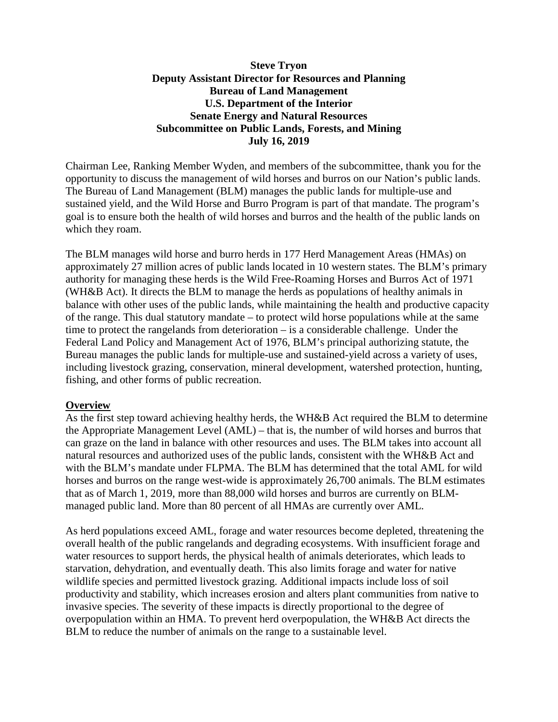### **Steve Tryon Deputy Assistant Director for Resources and Planning Bureau of Land Management U.S. Department of the Interior Senate Energy and Natural Resources Subcommittee on Public Lands, Forests, and Mining July 16, 2019**

Chairman Lee, Ranking Member Wyden, and members of the subcommittee, thank you for the opportunity to discuss the management of wild horses and burros on our Nation's public lands. The Bureau of Land Management (BLM) manages the public lands for multiple-use and sustained yield, and the Wild Horse and Burro Program is part of that mandate. The program's goal is to ensure both the health of wild horses and burros and the health of the public lands on which they roam.

The BLM manages wild horse and burro herds in 177 Herd Management Areas (HMAs) on approximately 27 million acres of public lands located in 10 western states. The BLM's primary authority for managing these herds is the Wild Free-Roaming Horses and Burros Act of 1971 (WH&B Act). It directs the BLM to manage the herds as populations of healthy animals in balance with other uses of the public lands, while maintaining the health and productive capacity of the range. This dual statutory mandate – to protect wild horse populations while at the same time to protect the rangelands from deterioration – is a considerable challenge. Under the Federal Land Policy and Management Act of 1976, BLM's principal authorizing statute, the Bureau manages the public lands for multiple-use and sustained-yield across a variety of uses, including livestock grazing, conservation, mineral development, watershed protection, hunting, fishing, and other forms of public recreation.

#### **Overview**

As the first step toward achieving healthy herds, the WH&B Act required the BLM to determine the Appropriate Management Level (AML) – that is, the number of wild horses and burros that can graze on the land in balance with other resources and uses. The BLM takes into account all natural resources and authorized uses of the public lands, consistent with the WH&B Act and with the BLM's mandate under FLPMA. The BLM has determined that the total AML for wild horses and burros on the range west-wide is approximately 26,700 animals. The BLM estimates that as of March 1, 2019, more than 88,000 wild horses and burros are currently on BLMmanaged public land. More than 80 percent of all HMAs are currently over AML.

As herd populations exceed AML, forage and water resources become depleted, threatening the overall health of the public rangelands and degrading ecosystems. With insufficient forage and water resources to support herds, the physical health of animals deteriorates, which leads to starvation, dehydration, and eventually death. This also limits forage and water for native wildlife species and permitted livestock grazing. Additional impacts include loss of soil productivity and stability, which increases erosion and alters plant communities from native to invasive species. The severity of these impacts is directly proportional to the degree of overpopulation within an HMA. To prevent herd overpopulation, the WH&B Act directs the BLM to reduce the number of animals on the range to a sustainable level.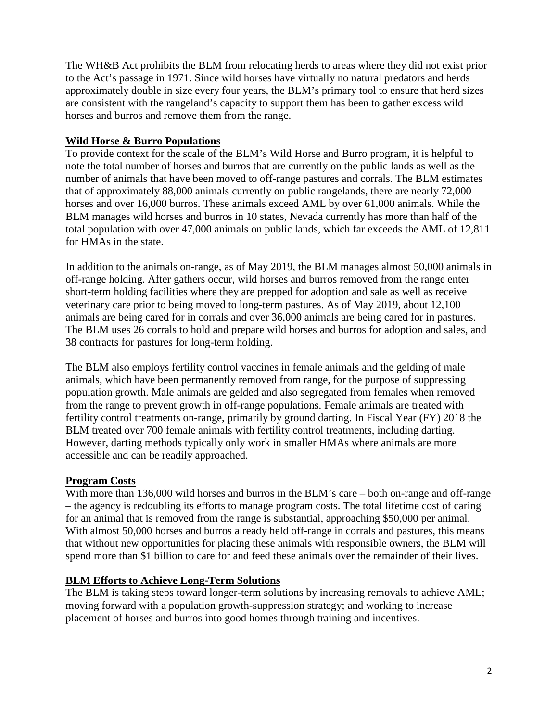The WH&B Act prohibits the BLM from relocating herds to areas where they did not exist prior to the Act's passage in 1971. Since wild horses have virtually no natural predators and herds approximately double in size every four years, the BLM's primary tool to ensure that herd sizes are consistent with the rangeland's capacity to support them has been to gather excess wild horses and burros and remove them from the range.

### **Wild Horse & Burro Populations**

To provide context for the scale of the BLM's Wild Horse and Burro program, it is helpful to note the total number of horses and burros that are currently on the public lands as well as the number of animals that have been moved to off-range pastures and corrals. The BLM estimates that of approximately 88,000 animals currently on public rangelands, there are nearly 72,000 horses and over 16,000 burros. These animals exceed AML by over 61,000 animals. While the BLM manages wild horses and burros in 10 states, Nevada currently has more than half of the total population with over 47,000 animals on public lands, which far exceeds the AML of 12,811 for HMAs in the state.

In addition to the animals on-range, as of May 2019, the BLM manages almost 50,000 animals in off-range holding. After gathers occur, wild horses and burros removed from the range enter short-term holding facilities where they are prepped for adoption and sale as well as receive veterinary care prior to being moved to long-term pastures. As of May 2019, about 12,100 animals are being cared for in corrals and over 36,000 animals are being cared for in pastures. The BLM uses 26 corrals to hold and prepare wild horses and burros for adoption and sales, and 38 contracts for pastures for long-term holding.

The BLM also employs fertility control vaccines in female animals and the gelding of male animals, which have been permanently removed from range, for the purpose of suppressing population growth. Male animals are gelded and also segregated from females when removed from the range to prevent growth in off-range populations. Female animals are treated with fertility control treatments on-range, primarily by ground darting. In Fiscal Year (FY) 2018 the BLM treated over 700 female animals with fertility control treatments, including darting. However, darting methods typically only work in smaller HMAs where animals are more accessible and can be readily approached.

# **Program Costs**

With more than 136,000 wild horses and burros in the BLM's care – both on-range and off-range – the agency is redoubling its efforts to manage program costs. The total lifetime cost of caring for an animal that is removed from the range is substantial, approaching \$50,000 per animal. With almost 50,000 horses and burros already held off-range in corrals and pastures, this means that without new opportunities for placing these animals with responsible owners, the BLM will spend more than \$1 billion to care for and feed these animals over the remainder of their lives.

# **BLM Efforts to Achieve Long-Term Solutions**

The BLM is taking steps toward longer-term solutions by increasing removals to achieve AML; moving forward with a population growth-suppression strategy; and working to increase placement of horses and burros into good homes through training and incentives.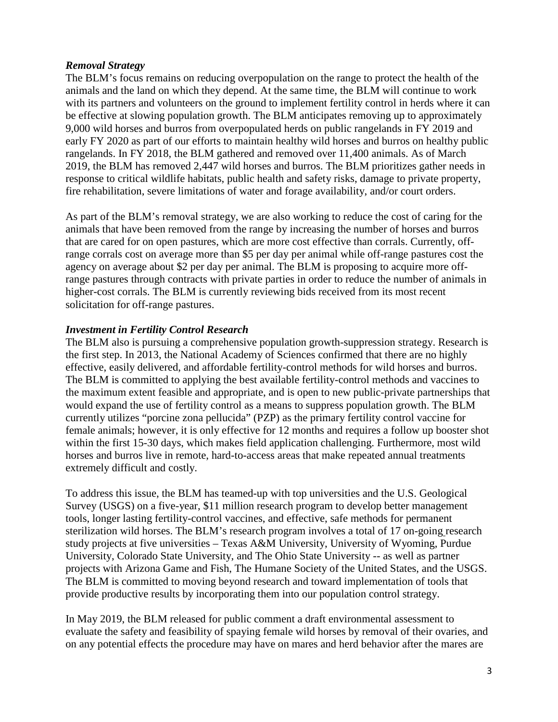#### *Removal Strategy*

The BLM's focus remains on reducing overpopulation on the range to protect the health of the animals and the land on which they depend. At the same time, the BLM will continue to work with its partners and volunteers on the ground to implement fertility control in herds where it can be effective at slowing population growth. The BLM anticipates removing up to approximately 9,000 wild horses and burros from overpopulated herds on public rangelands in FY 2019 and early FY 2020 as part of our efforts to maintain healthy wild horses and burros on healthy public rangelands. In FY 2018, the BLM gathered and removed over 11,400 animals. As of March 2019, the BLM has removed 2,447 wild horses and burros. The BLM prioritizes gather needs in response to critical wildlife habitats, public health and safety risks, damage to private property, fire rehabilitation, severe limitations of water and forage availability, and/or court orders.

As part of the BLM's removal strategy, we are also working to reduce the cost of caring for the animals that have been removed from the range by increasing the number of horses and burros that are cared for on open pastures, which are more cost effective than corrals. Currently, offrange corrals cost on average more than \$5 per day per animal while off-range pastures cost the agency on average about \$2 per day per animal. The BLM is proposing to acquire more offrange pastures through contracts with private parties in order to reduce the number of animals in higher-cost corrals. The BLM is currently reviewing bids received from its most recent solicitation for off-range pastures.

# *Investment in Fertility Control Research*

The BLM also is pursuing a comprehensive population growth-suppression strategy. Research is the first step. In 2013, the National Academy of Sciences confirmed that there are no highly effective, easily delivered, and affordable fertility-control methods for wild horses and burros. The BLM is committed to applying the best available fertility-control methods and vaccines to the maximum extent feasible and appropriate, and is open to new public-private partnerships that would expand the use of fertility control as a means to suppress population growth. The BLM currently utilizes "porcine zona pellucida" (PZP) as the primary fertility control vaccine for female animals; however, it is only effective for 12 months and requires a follow up booster shot within the first 15-30 days, which makes field application challenging. Furthermore, most wild horses and burros live in remote, hard-to-access areas that make repeated annual treatments extremely difficult and costly.

To address this issue, the BLM has teamed-up with top universities and the U.S. Geological Survey (USGS) on a five-year, \$11 million research program to develop better management tools, longer lasting fertility-control vaccines, and effective, safe methods for permanent sterilization wild horses. The BLM's research program involves a total of 17 on-going research study projects at five universities – Texas A&M University, University of Wyoming, Purdue University, Colorado State University, and The Ohio State University -- as well as partner projects with Arizona Game and Fish, The Humane Society of the United States, and the USGS. The BLM is committed to moving beyond research and toward implementation of tools that provide productive results by incorporating them into our population control strategy.

In May 2019, the BLM released for public comment a draft environmental assessment to evaluate the safety and feasibility of spaying female wild horses by removal of their ovaries, and on any potential effects the procedure may have on mares and herd behavior after the mares are